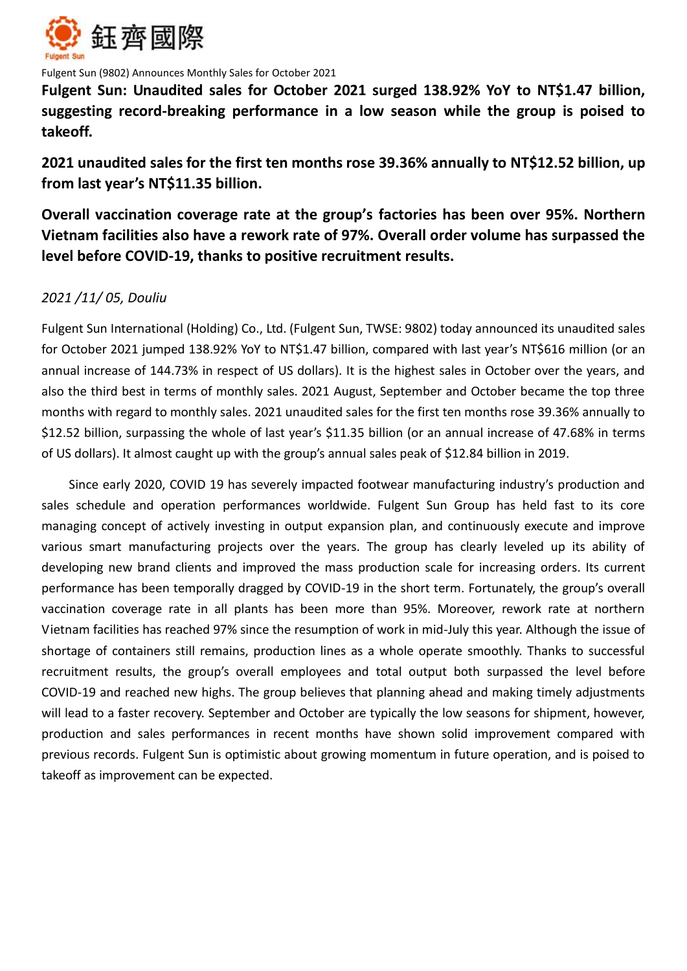

Fulgent Sun (9802) Announces Monthly Sales for October 2021

**Fulgent Sun: Unaudited sales for October 2021 surged 138.92% YoY to NT\$1.47 billion, suggesting record-breaking performance in a low season while the group is poised to takeoff.** 

**2021 unaudited sales for the first ten months rose 39.36% annually to NT\$12.52 billion, up from last year's NT\$11.35 billion.**

**Overall vaccination coverage rate at the group's factories has been over 95%. Northern Vietnam facilities also have a rework rate of 97%. Overall order volume has surpassed the level before COVID-19, thanks to positive recruitment results.**

# *2021 /11/ 05, Douliu*

Fulgent Sun International (Holding) Co., Ltd. (Fulgent Sun, TWSE: 9802) today announced its unaudited sales for October 2021 jumped 138.92% YoY to NT\$1.47 billion, compared with last year's NT\$616 million (or an annual increase of 144.73% in respect of US dollars). It is the highest sales in October over the years, and also the third best in terms of monthly sales. 2021 August, September and October became the top three months with regard to monthly sales. 2021 unaudited sales for the first ten months rose 39.36% annually to \$12.52 billion, surpassing the whole of last year's \$11.35 billion (or an annual increase of 47.68% in terms of US dollars). It almost caught up with the group's annual sales peak of \$12.84 billion in 2019.

Since early 2020, COVID 19 has severely impacted footwear manufacturing industry's production and sales schedule and operation performances worldwide. Fulgent Sun Group has held fast to its core managing concept of actively investing in output expansion plan, and continuously execute and improve various smart manufacturing projects over the years. The group has clearly leveled up its ability of developing new brand clients and improved the mass production scale for increasing orders. Its current performance has been temporally dragged by COVID-19 in the short term. Fortunately, the group's overall vaccination coverage rate in all plants has been more than 95%. Moreover, rework rate at northern Vietnam facilities has reached 97% since the resumption of work in mid-July this year. Although the issue of shortage of containers still remains, production lines as a whole operate smoothly. Thanks to successful recruitment results, the group's overall employees and total output both surpassed the level before COVID-19 and reached new highs. The group believes that planning ahead and making timely adjustments will lead to a faster recovery. September and October are typically the low seasons for shipment, however, production and sales performances in recent months have shown solid improvement compared with previous records. Fulgent Sun is optimistic about growing momentum in future operation, and is poised to takeoff as improvement can be expected.